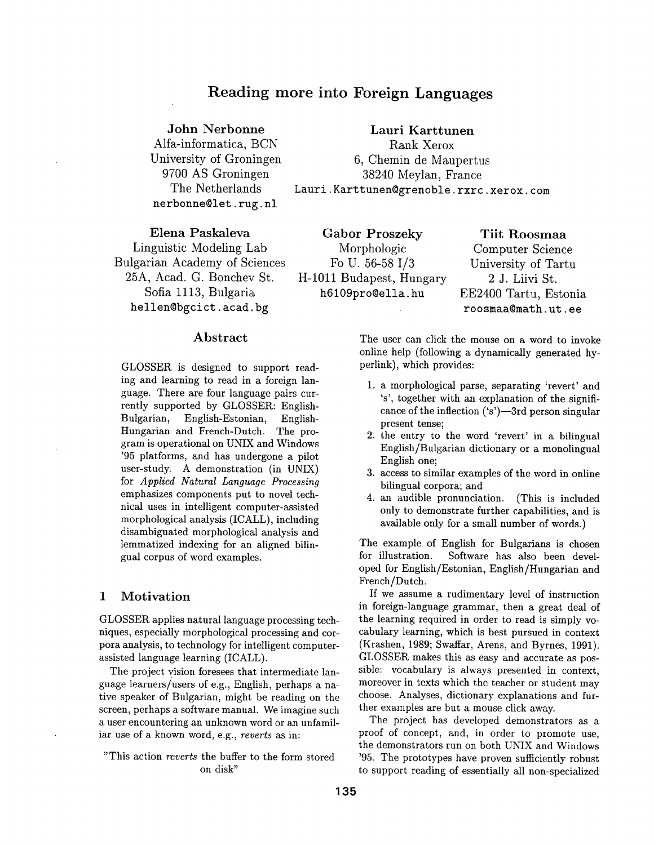# **Reading more into Foreign Languages**

## John Nerbonne

Alfa-informatica, BCN University of Groningen 9700 AS Groningen The Netherlands nerbonne@let, rug. nl

**Lauri** Karttunen Rank Xerox 6, Chemin de Maupertus 38240 Meylan, France Lauri. Karttunen@grenoble. rxrc. xerox, com

Elena Paskaleva Linguistic Modeling Lab Bulgarian Academy of Sciences 25A, Acad. G. Bonchev St. Sofia 1113, Bulgaria hellen@bgcict, acad. bg

Gabor Proszeky Morphologic Fo U. 56-58 I/3 H-1011 Budapest, Hungary h6109pro@ella, hu

Tiit Roosmaa Computer Science University of Tartu 2 J. Liivi St. EE2400 Tartu, Estonia roosmaa@math, ut. ee

## Abstract

GLOSSER is designed to support reading and learning to read in a foreign language. There are four language pairs currently supported by GLOSSER: English-Bulgarian, English-Estonian, English-Hungarian and French-Dutch. The program is operational on UNIX and Windows '95 platforms, and has undergone a pilot user-study. A demonstration (in UNIX) for *Applied Natural Language Processing*  emphasizes components put to novel technical uses in intelligent computer-assisted morphological analysis (ICALL), including disambiguated morphological analysis and lemmatized indexing for an aligned bilingual corpus of word examples.

## 1 Motivation

GLOSSER applies natural language processing techniques, especially morphological processing and corpora analysis, to technology for intelligent computerassisted language learning (ICALL).

The project vision foresees that intermediate language learners/users of e.g., English, perhaps a native speaker of Bulgarian, might be reading on the screen, perhaps a software manual. We imagine such a user encountering an unknown word or an unfamiliar use of a known word, e.g., *reverts* as **in:** 

"This action *reverts* the buffer to the form stored on disk"

The user can click the mouse on a word to invoke online help (following a dynamically generated hyperlink), which provides:

- 1. a morphological parse, separating 'revert' and 's', together with an explanation of the significance of the inflection  $('s')$ —3rd person singular present tense;
- 2. the entry to the word 'revert' in a bilingual English/Bulgarian dictionary or a monolingual English one;
- 3. access to similar examples of the word in online bilingual corpora; and
- 4. an audible pronunciation. (This is included only to demonstrate further capabilities, and **is**  available only for a small number of words.)

The example of English for Bulgarians is chosen for illustration. Software has also been developed for English/Estonian, English/Hungarian and French/Dutch.

If we assume a rudimentary level of instruction in foreign-language grammar, then a great deal of the learning required in order to read is simply vocabulary learning, which is best pursued in context (Krashen, 1989; Swaffar, Arens, and Byrnes, 1991). GLOSSER makes this as easy and accurate as possible: vocabulary is always presented in context, moreover in texts which the teacher or student may choose. Analyses, dictionary explanations and further examples are but a mouse click away.

The project has developed demonstrators as a proof of concept, and, in order to promote use, the demonstrators run on both UNIX and Windows '95. The prototypes have proven sufficiently robust to support reading of essentially all non-specialized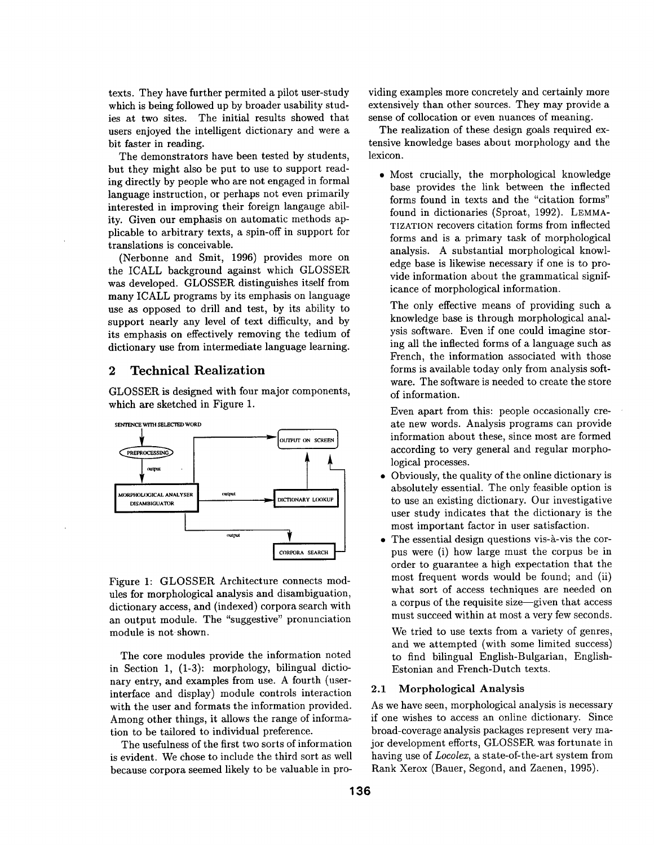texts. They have further permited a pilot user-study which is being followed up by broader usability studies at two sites. The initial results showed that users enjoyed the intelligent dictionary and were a bit faster in reading.

The demonstrators have been tested by students, but they might also be put to use to support reading directly by people who are not engaged in formal language instruction, or perhaps not even primarily interested in improving their foreign langauge ability. Given our emphasis on automatic methods applicable to arbitrary texts, a spin-off in support for translations is conceivable.

(Nerbonne and Smit, 1996) provides more on the ICALL background against which GLOSSER was developed. GLOSSER distinguishes itself from many ICALL programs by its emphasis on language use as opposed to drill and test, by its ability to support nearly any level of text difficulty, and by its emphasis on effectively removing the tedium of dictionary use from intermediate language learning.

## 2 Technical Realization

GLOSSER is designed with four major components, which are sketched in Figure 1.



Figure 1: GLOSSER Architecture connects modules for morphological analysis and disambiguation, dictionary access, and (indexed) corpora search with an output module. The "suggestive" pronunciation module is not shown.

The core modules provide the information noted in Section 1, (1-3): morphology, bilingual dictionary entry, and examples from use. A fourth (userinterface and display) module controls interaction with the user and formats the information provided. Among other things, it allows the range of information to be tailored to individual preference.

The usefulness of the first two sorts of information is evident. We Chose to include the third sort as well because corpora seemed likely to be valuable in providing examples more concretely and certainly more extensively than other sources. They may provide a sense of collocation or even nuances of meaning.

The realization of these design goals required extensive knowledge bases about morphology and the lexicon.

• Most crucially, the morphological knowledge base provides the link between the inflected forms found in texts and the "citation forms" found in dictionaries (Sproat, 1992). LEMMA-TIZATION recovers citation forms from inflected forms and is a primary task of morphological analysis. A substantial morphological knowledge base is likewise necessary if one is to provide information about the grammatical significance of morphological information.

The only effective means of providing such a knowledge base is through morphological analysis software. Even if one could imagine storing all the inflected forms of a language such as French, the information associated with those forms is available today only from analysis software. The software is needed to create the store of information.

Even apart from this: people occasionally create new words. Analysis programs can provide information about these, since most are formed according to very general and regular morphological processes.

- Obviously, the quality of the online dictionary is absolutely essential. The only feasible option is to use an existing dictionary. Our investigative user study indicates that the dictionary is the most important factor in user satisfaction.
- The essential design questions vis-à-vis the corpus were (i) how large must the corpus be in order to guarantee a high expectation that the most frequent words would be found; and (ii) what sort of access techniques are needed on a corpus of the requisite size--given that access must succeed within at most a very few seconds.

We tried to use texts from a variety of genres, and we attempted (with some limited success) to find bilingual English-Bulgarian, English-Estonian and French-Dutch texts.

#### 2.1 Morphological Analysis

As we have seen, morphological analysis is necessary if one wishes to access an online dictionary. Since broad-coverage analysis packages represent very major development efforts, GLOSSER was fortunate in having use of *Locolex,* a state-of-the-art system from Rank Xerox (Bauer, Segond, and Zaenen, 1995).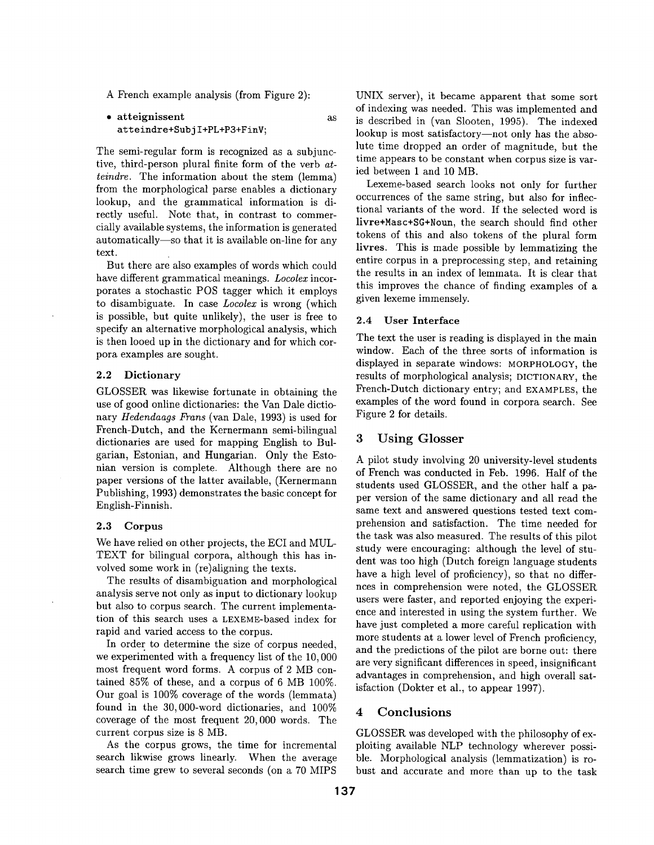A French example analysis (from Figure 2):

• atteignissent as att eindre+Subj I+PL+P3+FinV;

The semi-regular form is recognized as a subjunctive, third-person plural finite form of the verb at*teindre.* The information about the stem (lemma) from the morphological parse enables a dictionary lookup, and the grammatical information is directly useful. Note that, in contrast to commercially available systems, the information is generated automatically--so that it is available on-line for any text.

But there are also examples of words which could have different grammatical meanings. *Locolex* incorporates a stochastic POS tagger which it employs to disambiguate. In case *Locolex* is wrong (which is possible, but quite unlikely), the user is free to specify an alternative morphological analysis, which is then looed up in the dictionary and for which corpora examples are sought.

## 2.2 Dictionary

GLOSSER was likewise fortunate in obtaining the use of good online dictionaries: the Van Dale dictionary *Hedendaags Frans* (van Dale, 1993) is used for French-Dutch, and the Kernermann semi-bilingual dictionaries are used for mapping English to Bulgarian, Estonian, and Hungarian. Only the Estonian version is complete. Although there are no paper versions of the latter available, (Kernermann Publishing, 1993) demonstrates the basic concept for English-Finnish.

#### **2.3** Corpus

We have relied on other projects, the ECI and MUL-TEXT for bilingual corpora, although this has involved some work in (re)aligning the texts.

The results of disambiguation and morphological analysis serve not only as input to dictionary lookup but also to corpus search. The current implementation of this search uses a LEXEME-based index for rapid and varied access to the corpus.

In order to determine the size of corpus needed, we experimented with a frequency list of the 10,000 most frequent word forms. A corpus of 2 MB contained 85% of these, and a corpus of 6 MB 100%. Our goal is 100% coverage of the words (lemmata) found in the  $30,000$ -word dictionaries, and  $100\%$ coverage of the most frequent 20,000 words. The current corpus size is 8 MB.

As the corpus grows, the time for incremental search likwise grows linearly. When the average search time grew to several seconds (on a 70 MIPS UNIX server), it became apparent that some sort of indexing was needed. This was implemented and is described in (van Slooten, 1995). The indexed lookup is most satisfactory--not only has the absolute time dropped an order of magnitude, but the time appears to be constant when corpus size is varied between 1 and 10 MB.

Lexeme-based search looks not only for further occurrences of the same string, but also for inflectional variants of the word. If the selected word is livre+Masc+SG+Noun, the search should find other tokens of this and also tokens of the plural form **livres.** This is made possible by lemmatizing the entire corpus in a preprocessing step, and retaining the results in an index of lemmata. It is clear that this improves the chance of finding examples of a given lexeme immensely.

#### **2.4 User Interface**

The text the user is reading is displayed in the main window. Each of the three sorts of information is displayed in separate windows: MORPHOLOGY, the results of morphological analysis; DICTIONARY, the French-Dutch dictionary entry; and EXAMPLES, the examples of the word found in corpora search. See Figure 2 for details.

#### **3 Using Glosser**

A pilot study involving 20 university-level students of French was conducted in Feb. 1996. Half of the students used GLOSSER, and the other half a paper version of the same dictionary and all read the same text and answered questions tested text comprehension and satisfaction. The time needed for the task was also measured. The results of this pilot study were encouraging: although the level of student was too high (Dutch foreign language students have a high level of proficiency), so that no differnces in comprehension were noted, the GLOSSER users were faster, and reported enjoying the experience and interested in using the system further. We have just completed a more careful replication with more students at a lower level of French proficiency, and the predictions of the pilot are borne out: there are very significant differences in speed, insignificant advantages in comprehension, and high overall satisfaction (Dokter et al., to appear 1997).

### 4 Conclusions

GLOSSER was developed with the philosophy of exploiting available NLP technology wherever possible. Morphological analysis (lemmatization) is robust and accurate and more than up to the task